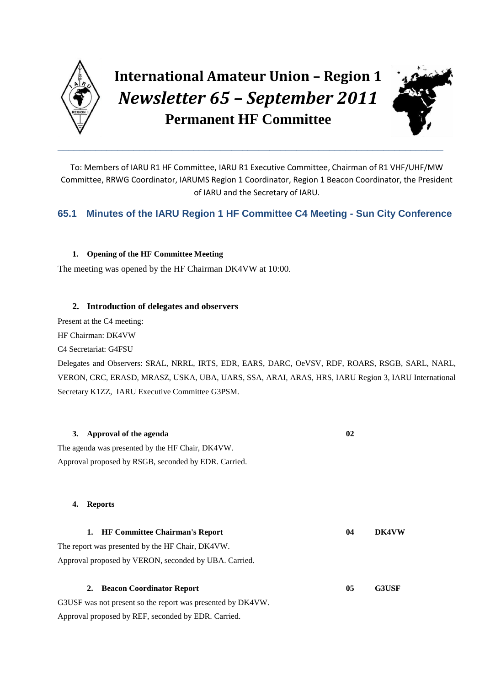

# **International Amateur Union – Region 1** *Newsletter 65 – September 2011* **Permanent HF Committee**

**\_\_\_\_\_\_\_\_\_\_\_\_\_\_\_\_\_\_\_\_\_\_\_\_\_\_\_\_\_\_\_\_\_\_\_\_\_\_\_\_\_\_\_\_\_\_\_\_\_\_\_\_\_\_\_\_\_\_\_\_\_\_\_\_\_\_\_\_\_\_\_**



To: Members of IARU R1 HF Committee, IARU R1 Executive Committee, Chairman of R1 VHF/UHF/MW Committee, RRWG Coordinator, IARUMS Region 1 Coordinator, Region 1 Beacon Coordinator, the President of IARU and the Secretary of IARU.

# **65.1 Minutes of the IARU Region 1 HF Committee C4 Meeting - Sun City Conference**

# **1. Opening of the HF Committee Meeting**

The meeting was opened by the HF Chairman DK4VW at 10:00.

# **2. Introduction of delegates and observers**

Present at the C4 meeting:

HF Chairman: DK4VW

C4 Secretariat: G4FSU

Delegates and Observers: SRAL, NRRL, IRTS, EDR, EARS, DARC, OeVSV, RDF, ROARS, RSGB, SARL, NARL, VERON, CRC, ERASD, MRASZ, USKA, UBA, UARS, SSA, ARAI, ARAS, HRS, IARU Region 3, IARU International Secretary K1ZZ, IARU Executive Committee G3PSM.

|    | 3. Approval of the agenda                                   | 02 |              |
|----|-------------------------------------------------------------|----|--------------|
|    | The agenda was presented by the HF Chair, DK4VW.            |    |              |
|    | Approval proposed by RSGB, seconded by EDR. Carried.        |    |              |
| 4. | <b>Reports</b>                                              |    |              |
| 1. | <b>HF Committee Chairman's Report</b>                       | 04 | <b>DK4VW</b> |
|    | The report was presented by the HF Chair, DK4VW.            |    |              |
|    | Approval proposed by VERON, seconded by UBA. Carried.       |    |              |
| 2. | <b>Beacon Coordinator Report</b>                            | 05 | <b>G3USF</b> |
|    | G3USF was not present so the report was presented by DK4VW. |    |              |
|    | Approval proposed by REF, seconded by EDR. Carried.         |    |              |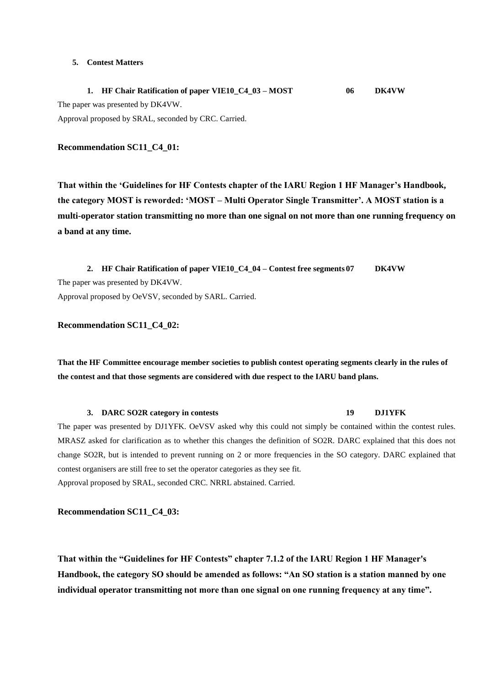#### **5. Contest Matters**

**1. HF Chair Ratification of paper VIE10\_C4\_03 – MOST 06 DK4VW** The paper was presented by DK4VW. Approval proposed by SRAL, seconded by CRC. Carried.

#### **Recommendation SC11\_C4\_01:**

**That within the "Guidelines for HF Contests chapter of the IARU Region 1 HF Manager"s Handbook, the category MOST is reworded: "MOST – Multi Operator Single Transmitter". A MOST station is a multi-operator station transmitting no more than one signal on not more than one running frequency on a band at any time.**

**2. HF Chair Ratification of paper VIE10\_C4\_04 – Contest free segments 07 DK4VW** The paper was presented by DK4VW. Approval proposed by OeVSV, seconded by SARL. Carried.

#### **Recommendation SC11\_C4\_02:**

**That the HF Committee encourage member societies to publish contest operating segments clearly in the rules of the contest and that those segments are considered with due respect to the IARU band plans.**

#### **3. DARC SO2R category in contests 19 DJ1YFK**

The paper was presented by DJ1YFK. OeVSV asked why this could not simply be contained within the contest rules. MRASZ asked for clarification as to whether this changes the definition of SO2R. DARC explained that this does not change SO2R, but is intended to prevent running on 2 or more frequencies in the SO category. DARC explained that contest organisers are still free to set the operator categories as they see fit. Approval proposed by SRAL, seconded CRC. NRRL abstained. Carried.

**Recommendation SC11\_C4\_03:**

**That within the "Guidelines for HF Contests" chapter 7.1.2 of the IARU Region 1 HF Manager's Handbook, the category SO should be amended as follows: "An SO station is a station manned by one individual operator transmitting not more than one signal on one running frequency at any time".**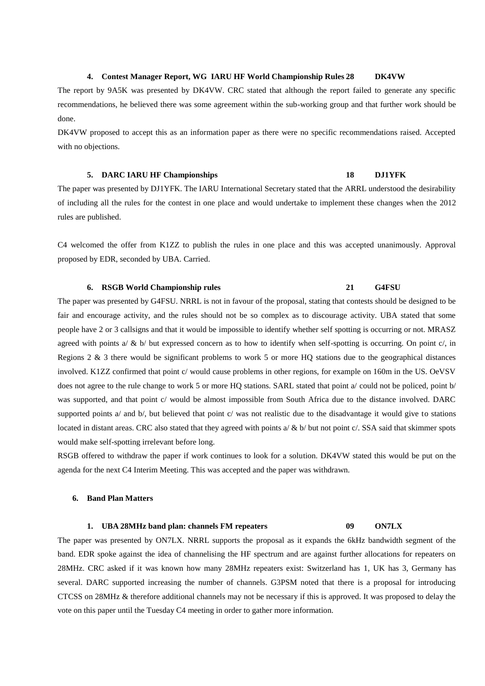#### **4. Contest Manager Report, WG IARU HF World Championship Rules 28 DK4VW**

The report by 9A5K was presented by DK4VW. CRC stated that although the report failed to generate any specific recommendations, he believed there was some agreement within the sub-working group and that further work should be done.

DK4VW proposed to accept this as an information paper as there were no specific recommendations raised. Accepted with no objections.

#### **5. DARC IARU HF Championships 18 DJ1YFK**

The paper was presented by DJ1YFK. The IARU International Secretary stated that the ARRL understood the desirability of including all the rules for the contest in one place and would undertake to implement these changes when the 2012 rules are published.

C4 welcomed the offer from K1ZZ to publish the rules in one place and this was accepted unanimously. Approval proposed by EDR, seconded by UBA. Carried.

#### **6. RSGB World Championship rules 21 G4FSU**

The paper was presented by G4FSU. NRRL is not in favour of the proposal, stating that contests should be designed to be fair and encourage activity, and the rules should not be so complex as to discourage activity. UBA stated that some people have 2 or 3 callsigns and that it would be impossible to identify whether self spotting is occurring or not. MRASZ agreed with points a/  $\&$  b/ but expressed concern as to how to identify when self-spotting is occurring. On point c/, in Regions 2 & 3 there would be significant problems to work 5 or more HQ stations due to the geographical distances involved. K1ZZ confirmed that point c/ would cause problems in other regions, for example on 160m in the US. OeVSV does not agree to the rule change to work 5 or more HQ stations. SARL stated that point a/ could not be policed, point b/ was supported, and that point c/ would be almost impossible from South Africa due to the distance involved. DARC supported points a/ and b/, but believed that point c/ was not realistic due to the disadvantage it would give to stations located in distant areas. CRC also stated that they agreed with points a/  $\&$  b/ but not point c/. SSA said that skimmer spots would make self-spotting irrelevant before long.

RSGB offered to withdraw the paper if work continues to look for a solution. DK4VW stated this would be put on the agenda for the next C4 Interim Meeting. This was accepted and the paper was withdrawn.

#### **6. Band Plan Matters**

#### **1. UBA 28MHz band plan: channels FM repeaters 09 ON7LX**

The paper was presented by ON7LX. NRRL supports the proposal as it expands the 6kHz bandwidth segment of the band. EDR spoke against the idea of channelising the HF spectrum and are against further allocations for repeaters on 28MHz. CRC asked if it was known how many 28MHz repeaters exist: Switzerland has 1, UK has 3, Germany has several. DARC supported increasing the number of channels. G3PSM noted that there is a proposal for introducing CTCSS on 28MHz & therefore additional channels may not be necessary if this is approved. It was proposed to delay the vote on this paper until the Tuesday C4 meeting in order to gather more information.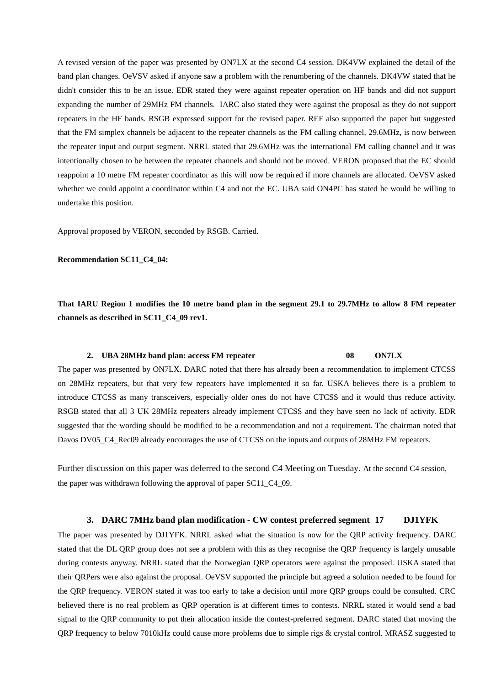A revised version of the paper was presented by ON7LX at the second C4 session. DK4VW explained the detail of the band plan changes. OeVSV asked if anyone saw a problem with the renumbering of the channels. DK4VW stated that he didn't consider this to be an issue. EDR stated they were against repeater operation on HF bands and did not support expanding the number of 29MHz FM channels. IARC also stated they were against the proposal as they do not support repeaters in the HF bands. RSGB expressed support for the revised paper. REF also supported the paper but suggested that the FM simplex channels be adjacent to the repeater channels as the FM calling channel, 29.6MHz, is now between the repeater input and output segment. NRRL stated that 29.6MHz was the international FM calling channel and it was intentionally chosen to be between the repeater channels and should not be moved. VERON proposed that the EC should reappoint a 10 metre FM repeater coordinator as this will now be required if more channels are allocated. OeVSV asked whether we could appoint a coordinator within C4 and not the EC. UBA said ON4PC has stated he would be willing to undertake this position.

Approval proposed by VERON, seconded by RSGB. Carried.

**Recommendation SC11\_C4\_04:**

**That IARU Region 1 modifies the 10 metre band plan in the segment 29.1 to 29.7MHz to allow 8 FM repeater channels as described in SC11\_C4\_09 rev1.**

#### **2. UBA 28MHz band plan: access FM repeater 08 ON7LX**

The paper was presented by ON7LX. DARC noted that there has already been a recommendation to implement CTCSS on 28MHz repeaters, but that very few repeaters have implemented it so far. USKA believes there is a problem to introduce CTCSS as many transceivers, especially older ones do not have CTCSS and it would thus reduce activity. RSGB stated that all 3 UK 28MHz repeaters already implement CTCSS and they have seen no lack of activity. EDR suggested that the wording should be modified to be a recommendation and not a requirement. The chairman noted that Davos DV05\_C4\_Rec09 already encourages the use of CTCSS on the inputs and outputs of 28MHz FM repeaters.

Further discussion on this paper was deferred to the second C4 Meeting on Tuesday. At the second C4 session, the paper was withdrawn following the approval of paper SC11\_C4\_09.

#### **3. DARC 7MHz band plan modification - CW contest preferred segment 17 DJ1YFK**

The paper was presented by DJ1YFK. NRRL asked what the situation is now for the QRP activity frequency. DARC stated that the DL QRP group does not see a problem with this as they recognise the QRP frequency is largely unusable during contests anyway. NRRL stated that the Norwegian QRP operators were against the proposed. USKA stated that their QRPers were also against the proposal. OeVSV supported the principle but agreed a solution needed to be found for the QRP frequency. VERON stated it was too early to take a decision until more QRP groups could be consulted. CRC believed there is no real problem as QRP operation is at different times to contests. NRRL stated it would send a bad signal to the QRP community to put their allocation inside the contest-preferred segment. DARC stated that moving the QRP frequency to below 7010kHz could cause more problems due to simple rigs & crystal control. MRASZ suggested to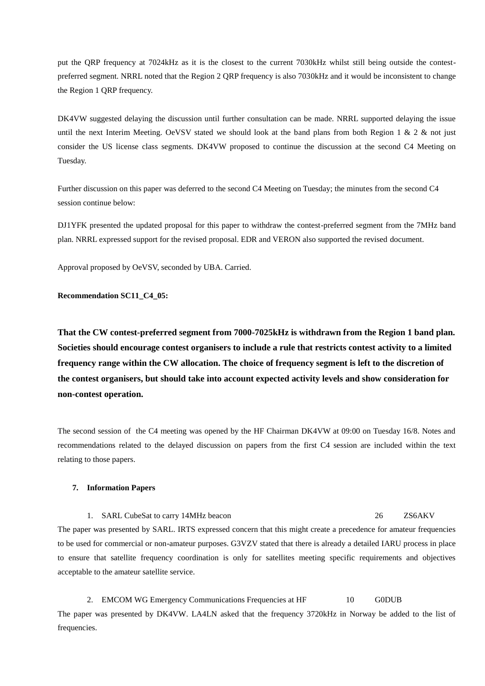put the QRP frequency at 7024kHz as it is the closest to the current 7030kHz whilst still being outside the contestpreferred segment. NRRL noted that the Region 2 QRP frequency is also 7030kHz and it would be inconsistent to change the Region 1 QRP frequency.

DK4VW suggested delaying the discussion until further consultation can be made. NRRL supported delaying the issue until the next Interim Meeting. OeVSV stated we should look at the band plans from both Region 1  $\&$  2  $\&$  not just consider the US license class segments. DK4VW proposed to continue the discussion at the second C4 Meeting on Tuesday.

Further discussion on this paper was deferred to the second C4 Meeting on Tuesday; the minutes from the second C4 session continue below:

DJ1YFK presented the updated proposal for this paper to withdraw the contest-preferred segment from the 7MHz band plan. NRRL expressed support for the revised proposal. EDR and VERON also supported the revised document.

Approval proposed by OeVSV, seconded by UBA. Carried.

**Recommendation SC11\_C4\_05:**

**That the CW contest-preferred segment from 7000-7025kHz is withdrawn from the Region 1 band plan. Societies should encourage contest organisers to include a rule that restricts contest activity to a limited frequency range within the CW allocation. The choice of frequency segment is left to the discretion of the contest organisers, but should take into account expected activity levels and show consideration for non-contest operation.**

The second session of the C4 meeting was opened by the HF Chairman DK4VW at 09:00 on Tuesday 16/8. Notes and recommendations related to the delayed discussion on papers from the first C4 session are included within the text relating to those papers.

#### **7. Information Papers**

1. SARL CubeSat to carry 14MHz beacon 26 ZS6AKV The paper was presented by SARL. IRTS expressed concern that this might create a precedence for amateur frequencies to be used for commercial or non-amateur purposes. G3VZV stated that there is already a detailed IARU process in place to ensure that satellite frequency coordination is only for satellites meeting specific requirements and objectives acceptable to the amateur satellite service.

2. EMCOM WG Emergency Communications Frequencies at HF 10 G0DUB The paper was presented by DK4VW. LA4LN asked that the frequency 3720kHz in Norway be added to the list of frequencies.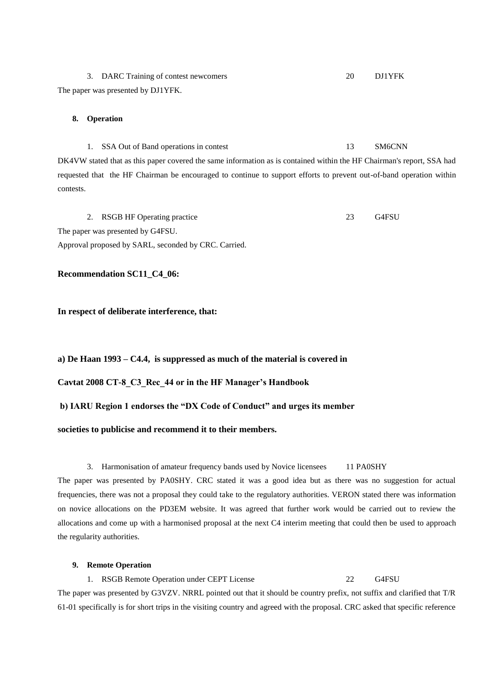3. DARC Training of contest newcomers 20 DJ1YFK The paper was presented by DJ1YFK.

#### **8. Operation**

1. SSA Out of Band operations in contest 13 SM6CNN DK4VW stated that as this paper covered the same information as is contained within the HF Chairman's report, SSA had requested that the HF Chairman be encouraged to continue to support efforts to prevent out-of-band operation within contests.

2. RSGB HF Operating practice 23 G4FSU The paper was presented by G4FSU. Approval proposed by SARL, seconded by CRC. Carried.

#### **Recommendation SC11\_C4\_06:**

**In respect of deliberate interference, that:**

#### **a) De Haan 1993 – C4.4, is suppressed as much of the material is covered in**

**Cavtat 2008 CT-8\_C3\_Rec\_44 or in the HF Manager"s Handbook**

#### **b) IARU Region 1 endorses the "DX Code of Conduct" and urges its member**

#### **societies to publicise and recommend it to their members.**

#### 3. Harmonisation of amateur frequency bands used by Novice licensees 11 PA0SHY

The paper was presented by PA0SHY. CRC stated it was a good idea but as there was no suggestion for actual frequencies, there was not a proposal they could take to the regulatory authorities. VERON stated there was information on novice allocations on the PD3EM website. It was agreed that further work would be carried out to review the allocations and come up with a harmonised proposal at the next C4 interim meeting that could then be used to approach the regularity authorities.

#### **9. Remote Operation**

# 1. RSGB Remote Operation under CEPT License 22 G4FSU The paper was presented by G3VZV. NRRL pointed out that it should be country prefix, not suffix and clarified that T/R 61-01 specifically is for short trips in the visiting country and agreed with the proposal. CRC asked that specific reference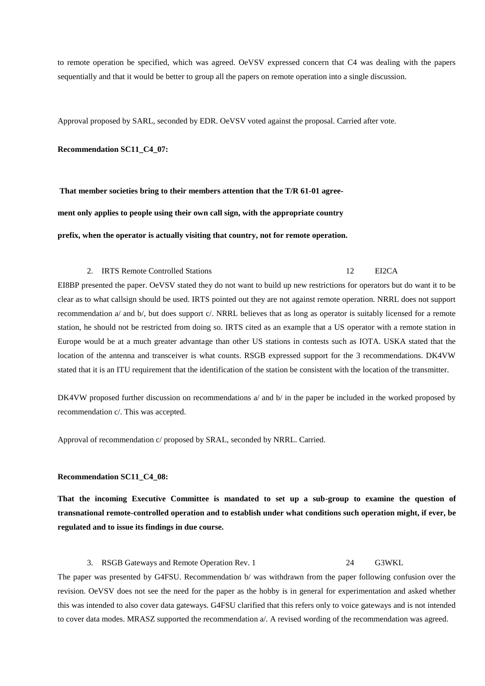to remote operation be specified, which was agreed. OeVSV expressed concern that C4 was dealing with the papers sequentially and that it would be better to group all the papers on remote operation into a single discussion.

Approval proposed by SARL, seconded by EDR. OeVSV voted against the proposal. Carried after vote.

#### **Recommendation SC11\_C4\_07:**

**That member societies bring to their members attention that the T/R 61-01 agree-**

**ment only applies to people using their own call sign, with the appropriate country** 

**prefix, when the operator is actually visiting that country, not for remote operation.**

#### 2. IRTS Remote Controlled Stations 12 EI2CA

EI8BP presented the paper. OeVSV stated they do not want to build up new restrictions for operators but do want it to be clear as to what callsign should be used. IRTS pointed out they are not against remote operation. NRRL does not support recommendation a/ and b/, but does support c/. NRRL believes that as long as operator is suitably licensed for a remote station, he should not be restricted from doing so. IRTS cited as an example that a US operator with a remote station in Europe would be at a much greater advantage than other US stations in contests such as IOTA. USKA stated that the location of the antenna and transceiver is what counts. RSGB expressed support for the 3 recommendations. DK4VW stated that it is an ITU requirement that the identification of the station be consistent with the location of the transmitter.

DK4VW proposed further discussion on recommendations a/ and b/ in the paper be included in the worked proposed by recommendation c/. This was accepted.

Approval of recommendation c/ proposed by SRAL, seconded by NRRL. Carried.

#### **Recommendation SC11\_C4\_08:**

**That the incoming Executive Committee is mandated to set up a sub-group to examine the question of transnational remote-controlled operation and to establish under what conditions such operation might, if ever, be regulated and to issue its findings in due course.**

#### 3. RSGB Gateways and Remote Operation Rev. 1 24 G3WKL

The paper was presented by G4FSU. Recommendation b/ was withdrawn from the paper following confusion over the revision. OeVSV does not see the need for the paper as the hobby is in general for experimentation and asked whether this was intended to also cover data gateways. G4FSU clarified that this refers only to voice gateways and is not intended to cover data modes. MRASZ supported the recommendation a/. A revised wording of the recommendation was agreed.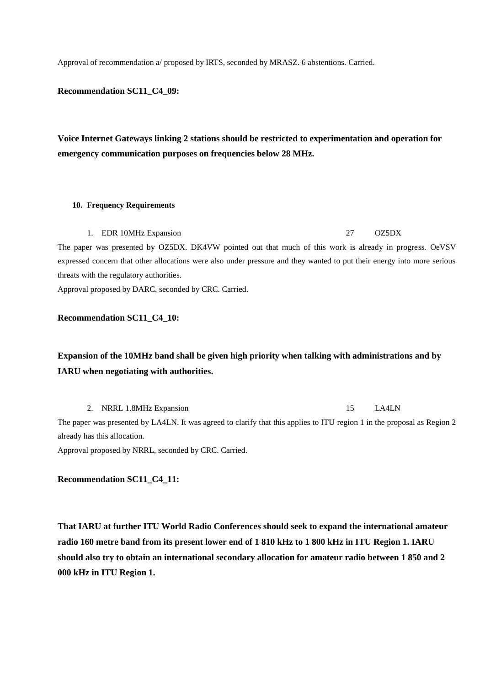Approval of recommendation a/ proposed by IRTS, seconded by MRASZ. 6 abstentions. Carried.

## **Recommendation SC11\_C4\_09:**

**Voice Internet Gateways linking 2 stations should be restricted to experimentation and operation for emergency communication purposes on frequencies below 28 MHz.**

#### **10. Frequency Requirements**

1. EDR 10MHz Expansion 27 OZ5DX

The paper was presented by OZ5DX. DK4VW pointed out that much of this work is already in progress. OeVSV expressed concern that other allocations were also under pressure and they wanted to put their energy into more serious threats with the regulatory authorities.

Approval proposed by DARC, seconded by CRC. Carried.

#### **Recommendation SC11\_C4\_10:**

# **Expansion of the 10MHz band shall be given high priority when talking with administrations and by IARU when negotiating with authorities.**

2. NRRL 1.8MHz Expansion 15 LA4LN

The paper was presented by LA4LN. It was agreed to clarify that this applies to ITU region 1 in the proposal as Region 2 already has this allocation.

Approval proposed by NRRL, seconded by CRC. Carried.

#### **Recommendation SC11\_C4\_11:**

**That IARU at further ITU World Radio Conferences should seek to expand the international amateur radio 160 metre band from its present lower end of 1 810 kHz to 1 800 kHz in ITU Region 1. IARU should also try to obtain an international secondary allocation for amateur radio between 1 850 and 2 000 kHz in ITU Region 1.**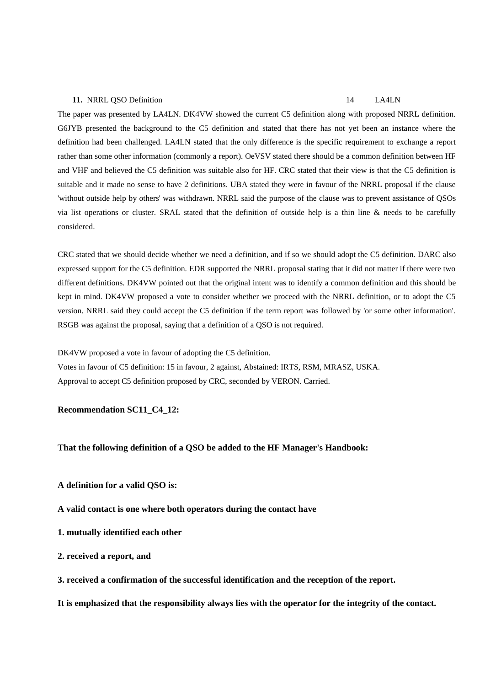#### **11.** NRRL QSO Definition 14 LA4LN

The paper was presented by LA4LN. DK4VW showed the current C5 definition along with proposed NRRL definition. G6JYB presented the background to the C5 definition and stated that there has not yet been an instance where the definition had been challenged. LA4LN stated that the only difference is the specific requirement to exchange a report rather than some other information (commonly a report). OeVSV stated there should be a common definition between HF and VHF and believed the C5 definition was suitable also for HF. CRC stated that their view is that the C5 definition is suitable and it made no sense to have 2 definitions. UBA stated they were in favour of the NRRL proposal if the clause 'without outside help by others' was withdrawn. NRRL said the purpose of the clause was to prevent assistance of QSOs via list operations or cluster. SRAL stated that the definition of outside help is a thin line & needs to be carefully considered.

CRC stated that we should decide whether we need a definition, and if so we should adopt the C5 definition. DARC also expressed support for the C5 definition. EDR supported the NRRL proposal stating that it did not matter if there were two different definitions. DK4VW pointed out that the original intent was to identify a common definition and this should be kept in mind. DK4VW proposed a vote to consider whether we proceed with the NRRL definition, or to adopt the C5 version. NRRL said they could accept the C5 definition if the term report was followed by 'or some other information'. RSGB was against the proposal, saying that a definition of a QSO is not required.

DK4VW proposed a vote in favour of adopting the C5 definition.

Votes in favour of C5 definition: 15 in favour, 2 against, Abstained: IRTS, RSM, MRASZ, USKA. Approval to accept C5 definition proposed by CRC, seconded by VERON. Carried.

#### **Recommendation SC11\_C4\_12:**

#### **That the following definition of a QSO be added to the HF Manager's Handbook:**

- **A definition for a valid QSO is:**
- **A valid contact is one where both operators during the contact have**
- **1. mutually identified each other**
- **2. received a report, and**
- **3. received a confirmation of the successful identification and the reception of the report.**

**It is emphasized that the responsibility always lies with the operator for the integrity of the contact.**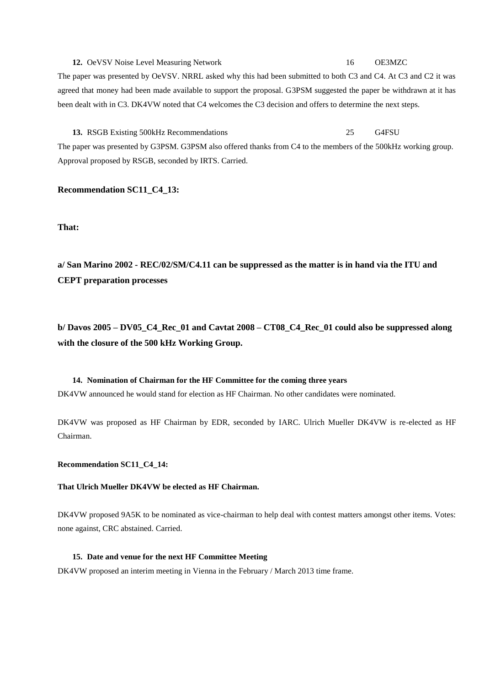# **12.** OeVSV Noise Level Measuring Network 16 OE3MZC The paper was presented by OeVSV. NRRL asked why this had been submitted to both C3 and C4. At C3 and C2 it was agreed that money had been made available to support the proposal. G3PSM suggested the paper be withdrawn at it has been dealt with in C3. DK4VW noted that C4 welcomes the C3 decision and offers to determine the next steps.

**13.** RSGB Existing 500kHz Recommendations 25 G4FSU The paper was presented by G3PSM. G3PSM also offered thanks from C4 to the members of the 500kHz working group. Approval proposed by RSGB, seconded by IRTS. Carried.

#### **Recommendation SC11\_C4\_13:**

**That:**

**a/ San Marino 2002 - REC/02/SM/C4.11 can be suppressed as the matter is in hand via the ITU and CEPT preparation processes**

**b/ Davos 2005 – DV05\_C4\_Rec\_01 and Cavtat 2008 – CT08\_C4\_Rec\_01 could also be suppressed along with the closure of the 500 kHz Working Group.**

# **14. Nomination of Chairman for the HF Committee for the coming three years** DK4VW announced he would stand for election as HF Chairman. No other candidates were nominated.

DK4VW was proposed as HF Chairman by EDR, seconded by IARC. Ulrich Mueller DK4VW is re-elected as HF Chairman.

#### **Recommendation SC11\_C4\_14:**

#### **That Ulrich Mueller DK4VW be elected as HF Chairman.**

DK4VW proposed 9A5K to be nominated as vice-chairman to help deal with contest matters amongst other items. Votes: none against, CRC abstained. Carried.

#### **15. Date and venue for the next HF Committee Meeting**

DK4VW proposed an interim meeting in Vienna in the February / March 2013 time frame.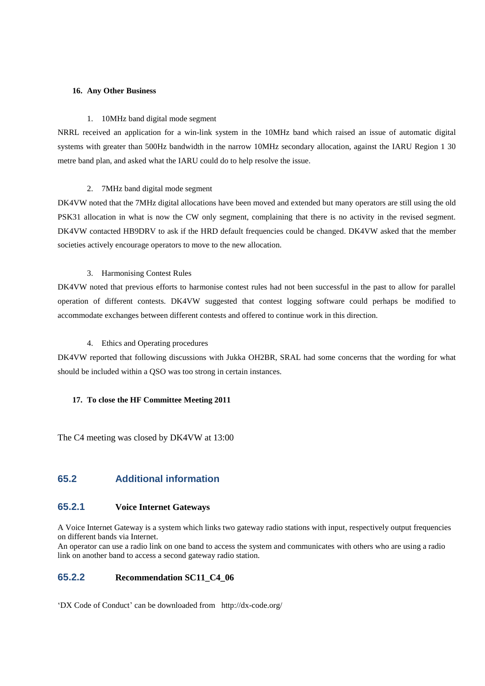#### **16. Any Other Business**

#### 1. 10MHz band digital mode segment

NRRL received an application for a win-link system in the 10MHz band which raised an issue of automatic digital systems with greater than 500Hz bandwidth in the narrow 10MHz secondary allocation, against the IARU Region 1 30 metre band plan, and asked what the IARU could do to help resolve the issue.

#### 2. 7MHz band digital mode segment

DK4VW noted that the 7MHz digital allocations have been moved and extended but many operators are still using the old PSK31 allocation in what is now the CW only segment, complaining that there is no activity in the revised segment. DK4VW contacted HB9DRV to ask if the HRD default frequencies could be changed. DK4VW asked that the member societies actively encourage operators to move to the new allocation.

#### 3. Harmonising Contest Rules

DK4VW noted that previous efforts to harmonise contest rules had not been successful in the past to allow for parallel operation of different contests. DK4VW suggested that contest logging software could perhaps be modified to accommodate exchanges between different contests and offered to continue work in this direction.

#### 4. Ethics and Operating procedures

DK4VW reported that following discussions with Jukka OH2BR, SRAL had some concerns that the wording for what should be included within a QSO was too strong in certain instances.

#### **17. To close the HF Committee Meeting 2011**

The C4 meeting was closed by DK4VW at 13:00

# **65.2 Additional information**

#### **65.2.1 Voice Internet Gateways**

A Voice Internet Gateway is a system which links two gateway radio stations with input, respectively output frequencies on different bands via Internet.

An operator can use a radio link on one band to access the system and communicates with others who are using a radio link on another band to access a second gateway radio station.

## **65.2.2 Recommendation SC11\_C4\_06**

'DX Code of Conduct' can be downloaded from http://dx-code.org/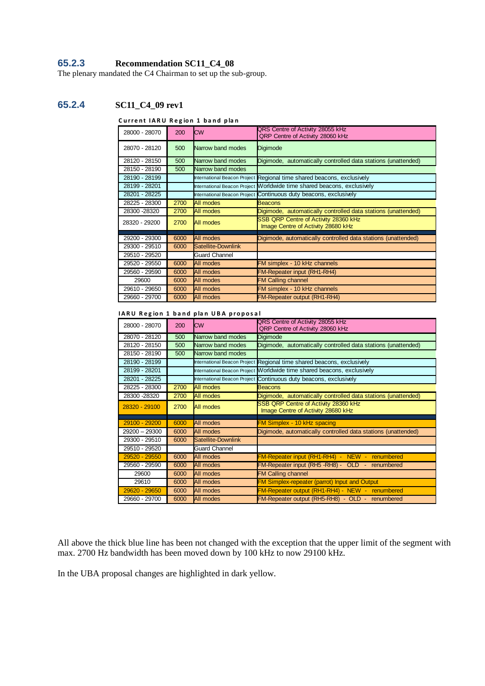# **65.2.3 Recommendation SC11\_C4\_08**

The plenary mandated the C4 Chairman to set up the sub-group.

# **65.2.4 SC11\_C4\_09 rev1**

#### **Current IARU Region 1 band plan**

| 28000 - 28070 | 200  | <b>CW</b>            | QRS Centre of Activity 28055 kHz<br>QRP Centre of Activity 28060 kHz       |
|---------------|------|----------------------|----------------------------------------------------------------------------|
| 28070 - 28120 | 500  | Narrow band modes    | Digimode                                                                   |
| 28120 - 28150 | 500  | Narrow band modes    | Digimode, automatically controlled data stations (unattended)              |
| 28150 - 28190 | 500  | Narrow band modes    |                                                                            |
| 28190 - 28199 |      |                      | International Beacon Project Regional time shared beacons, exclusively     |
| 28199 - 28201 |      |                      | International Beacon Project Morldwide time shared beacons, exclusively    |
| 28201 - 28225 |      |                      | International Beacon Project Continuous duty beacons, exclusively          |
| 28225 - 28300 | 2700 | <b>All modes</b>     | Beacons                                                                    |
| 28300 - 28320 | 2700 | <b>All modes</b>     | Digimode, automatically controlled data stations (unattended)              |
| 28320 - 29200 | 2700 | All modes            | SSB QRP Centre of Activity 28360 kHz<br>Image Centre of Activity 28680 kHz |
| 29200 - 29300 | 6000 | All modes            | Digimode, automatically controlled data stations (unattended)              |
| 29300 - 29510 | 6000 | Satellite-Downlink   |                                                                            |
| 29510 - 29520 |      | <b>Guard Channel</b> |                                                                            |
| 29520 - 29550 | 6000 | All modes            | FM simplex - 10 kHz channels                                               |
| 29560 - 29590 | 6000 | All modes            | <b>FM-Repeater input (RH1-RH4)</b>                                         |
| 29600         | 6000 | All modes            | <b>FM Calling channel</b>                                                  |
| 29610 - 29650 | 6000 | All modes            | FM simplex - 10 kHz channels                                               |
| 29660 - 29700 | 6000 | All modes            | <b>FM-Repeater output (RH1-RH4)</b>                                        |

#### **IARU Region 1 band plan UBA proposal**

| 28000 - 28070 | 200  | <b>CW</b>            | QRS Centre of Activity 28055 kHz<br>QRP Centre of Activity 28060 kHz       |
|---------------|------|----------------------|----------------------------------------------------------------------------|
| 28070 - 28120 | 500  | Narrow band modes    | Digimode                                                                   |
| 28120 - 28150 | 500  | Narrow band modes    | Digimode, automatically controlled data stations (unattended)              |
| 28150 - 28190 | 500  | Narrow band modes    |                                                                            |
| 28190 - 28199 |      |                      | International Beacon Project Regional time shared beacons, exclusively     |
| 28199 - 28201 |      |                      | International Beacon Project Worldwide time shared beacons, exclusively    |
| 28201 - 28225 |      |                      | International Beacon Project Continuous duty beacons, exclusively          |
| 28225 - 28300 | 2700 | All modes            | Beacons                                                                    |
| 28300 - 28320 | 2700 | <b>All modes</b>     | Digimode, automatically controlled data stations (unattended)              |
| 28320 - 29100 | 2700 | <b>All modes</b>     | SSB QRP Centre of Activity 28360 kHz<br>Image Centre of Activity 28680 kHz |
|               |      |                      |                                                                            |
| 29100 - 29200 | 6000 | All modes            | <b>FM Simplex - 10 kHz spacing</b>                                         |
| 29200 - 29300 | 6000 | All modes            | Digimode, automatically controlled data stations (unattended)              |
| 29300 - 29510 | 6000 | Satellite-Downlink   |                                                                            |
| 29510 - 29520 |      | <b>Guard Channel</b> |                                                                            |
| 29520 - 29550 | 6000 | All modes            | <b>FM-Repeater input (RH1-RH4) - NEW - renumbered</b>                      |
| 29560 - 29590 | 6000 | All modes            | FM-Repeater input (RH5 -RH8) - OLD - renumbered                            |
| 29600         | 6000 | All modes            | <b>FM Calling channel</b>                                                  |
| 29610         | 6000 | All modes            | <b>FM Simplex-repeater (parrot) Input and Output</b>                       |
| 29620 - 29650 | 6000 | All modes            | FM-Repeater output (RH1-RH4) - NEW - renumbered                            |
| 29660 - 29700 | 6000 | All modes            | FM-Repeater output (RH5-RH8) - OLD - renumbered                            |

All above the thick blue line has been not changed with the exception that the upper limit of the segment with max. 2700 Hz bandwidth has been moved down by 100 kHz to now 29100 kHz.

In the UBA proposal changes are highlighted in dark yellow.